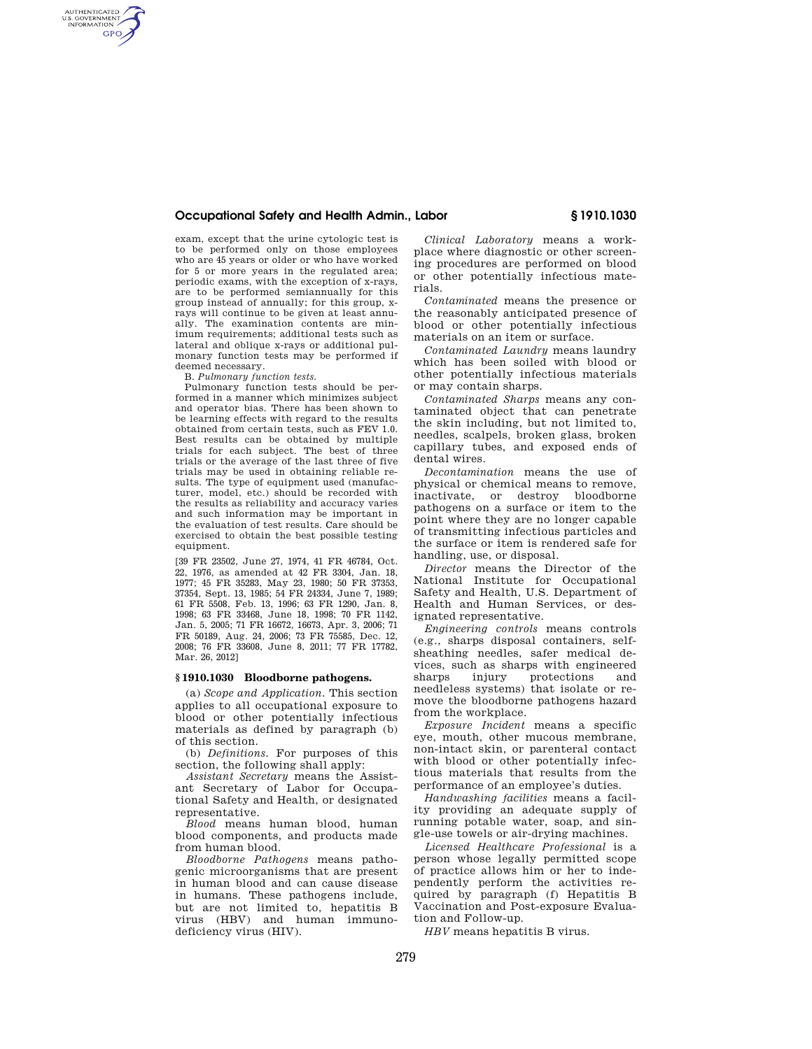exam, except that the urine cytologic test is to be performed only on those employees who are 45 years or older or who have worked for 5 or more years in the regulated area; periodic exams, with the exception of x-rays, are to be performed semiannually for this group instead of annually; for this group, xrays will continue to be given at least annually. The examination contents are minimum requirements; additional tests such as lateral and oblique x-rays or additional pulmonary function tests may be performed if deemed necessary.

B. *Pulmonary function tests.* 

AUTHENTICATED<br>U.S. GOVERNMENT<br>INFORMATION **GPO** 

> Pulmonary function tests should be performed in a manner which minimizes subject and operator bias. There has been shown to be learning effects with regard to the results obtained from certain tests, such as FEV 1.0. Best results can be obtained by multiple trials for each subject. The best of three trials or the average of the last three of five trials may be used in obtaining reliable results. The type of equipment used (manufacturer, model, etc.) should be recorded with the results as reliability and accuracy varies and such information may be important in the evaluation of test results. Care should be exercised to obtain the best possible testing equipment.

[39 FR 23502, June 27, 1974, 41 FR 46784, Oct. 22, 1976, as amended at 42 FR 3304, Jan. 18, 1977; 45 FR 35283, May 23, 1980; 50 FR 37353, 37354, Sept. 13, 1985; 54 FR 24334, June 7, 1989; 61 FR 5508, Feb. 13, 1996; 63 FR 1290, Jan. 8, 1998; 63 FR 33468, June 18, 1998; 70 FR 1142, Jan. 5, 2005; 71 FR 16672, 16673, Apr. 3, 2006; 71 FR 50189, Aug. 24, 2006; 73 FR 75585, Dec. 12, 2008; 76 FR 33608, June 8, 2011; 77 FR 17782, Mar. 26, 2012]

#### **§ 1910.1030 Bloodborne pathogens.**

(a) *Scope and Application.* This section applies to all occupational exposure to blood or other potentially infectious materials as defined by paragraph (b) of this section.

(b) *Definitions.* For purposes of this section, the following shall apply:

*Assistant Secretary* means the Assistant Secretary of Labor for Occupational Safety and Health, or designated representative.

*Blood* means human blood, human blood components, and products made from human blood.

*Bloodborne Pathogens* means pathogenic microorganisms that are present in human blood and can cause disease in humans. These pathogens include, but are not limited to, hepatitis B virus (HBV) and human immunodeficiency virus (HIV).

*Clinical Laboratory* means a workplace where diagnostic or other screening procedures are performed on blood or other potentially infectious materials.

*Contaminated* means the presence or the reasonably anticipated presence of blood or other potentially infectious materials on an item or surface.

*Contaminated Laundry* means laundry which has been soiled with blood or other potentially infectious materials or may contain sharps.

*Contaminated Sharps* means any contaminated object that can penetrate the skin including, but not limited to, needles, scalpels, broken glass, broken capillary tubes, and exposed ends of dental wires.

*Decontamination* means the use of physical or chemical means to remove, inactivate, or destroy bloodborne pathogens on a surface or item to the point where they are no longer capable of transmitting infectious particles and the surface or item is rendered safe for handling, use, or disposal.

*Director* means the Director of the National Institute for Occupational Safety and Health, U.S. Department of Health and Human Services, or designated representative.

*Engineering controls* means controls (e.g., sharps disposal containers, selfsheathing needles, safer medical devices, such as sharps with engineered sharps injury protections and needleless systems) that isolate or remove the bloodborne pathogens hazard from the workplace.

*Exposure Incident* means a specific eye, mouth, other mucous membrane, non-intact skin, or parenteral contact with blood or other potentially infectious materials that results from the performance of an employee's duties.

*Handwashing facilities* means a facility providing an adequate supply of running potable water, soap, and single-use towels or air-drying machines.

*Licensed Healthcare Professional* is a person whose legally permitted scope of practice allows him or her to independently perform the activities required by paragraph (f) Hepatitis B Vaccination and Post-exposure Evaluation and Follow-up.

*HBV* means hepatitis B virus.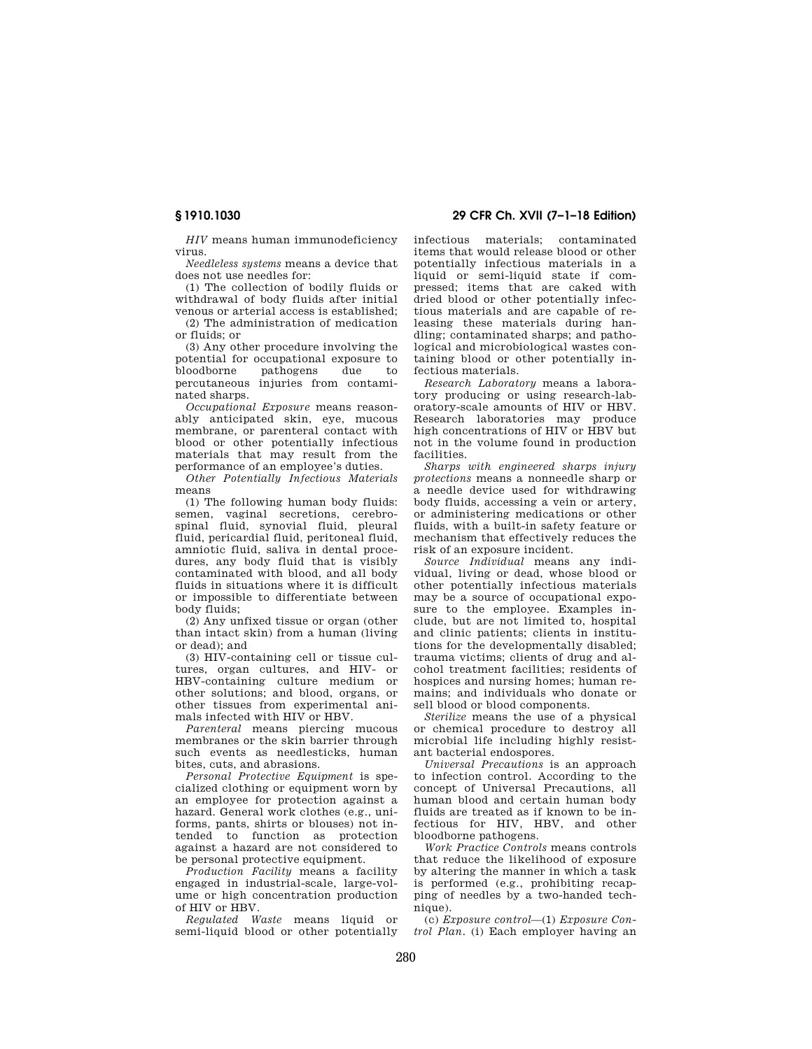*HIV* means human immunodeficiency virus.

*Needleless systems* means a device that does not use needles for:

(1) The collection of bodily fluids or withdrawal of body fluids after initial

venous or arterial access is established; (2) The administration of medication or fluids; or

(3) Any other procedure involving the potential for occupational exposure to pathogens due to percutaneous injuries from contaminated sharps.

*Occupational Exposure* means reasonably anticipated skin, eye, mucous membrane, or parenteral contact with blood or other potentially infectious materials that may result from the performance of an employee's duties.

*Other Potentially Infectious Materials*  means

(1) The following human body fluids: semen, vaginal secretions, cerebrospinal fluid, synovial fluid, pleural fluid, pericardial fluid, peritoneal fluid, amniotic fluid, saliva in dental procedures, any body fluid that is visibly contaminated with blood, and all body fluids in situations where it is difficult or impossible to differentiate between body fluids;

(2) Any unfixed tissue or organ (other than intact skin) from a human (living or dead); and

(3) HIV-containing cell or tissue cultures, organ cultures, and HIV- or HBV-containing culture medium or other solutions; and blood, organs, or other tissues from experimental animals infected with HIV or HBV.

*Parenteral* means piercing mucous membranes or the skin barrier through such events as needlesticks, human bites, cuts, and abrasions.

*Personal Protective Equipment* is specialized clothing or equipment worn by an employee for protection against a hazard. General work clothes (e.g., uniforms, pants, shirts or blouses) not intended to function as protection against a hazard are not considered to be personal protective equipment.

*Production Facility* means a facility engaged in industrial-scale, large-volume or high concentration production of HIV or HBV.

*Regulated Waste* means liquid or semi-liquid blood or other potentially

**§ 1910.1030 29 CFR Ch. XVII (7–1–18 Edition)** 

infectious materials; contaminated items that would release blood or other potentially infectious materials in a liquid or semi-liquid state if compressed; items that are caked with dried blood or other potentially infectious materials and are capable of releasing these materials during handling; contaminated sharps; and pathological and microbiological wastes containing blood or other potentially infectious materials.

*Research Laboratory* means a laboratory producing or using research-laboratory-scale amounts of HIV or HBV. Research laboratories may produce high concentrations of HIV or HBV but not in the volume found in production facilities.

*Sharps with engineered sharps injury protections* means a nonneedle sharp or a needle device used for withdrawing body fluids, accessing a vein or artery, or administering medications or other fluids, with a built-in safety feature or mechanism that effectively reduces the risk of an exposure incident.

*Source Individual* means any individual, living or dead, whose blood or other potentially infectious materials may be a source of occupational exposure to the employee. Examples include, but are not limited to, hospital and clinic patients; clients in institutions for the developmentally disabled; trauma victims; clients of drug and alcohol treatment facilities; residents of hospices and nursing homes; human remains; and individuals who donate or sell blood or blood components.

*Sterilize* means the use of a physical or chemical procedure to destroy all microbial life including highly resistant bacterial endospores.

*Universal Precautions* is an approach to infection control. According to the concept of Universal Precautions, all human blood and certain human body fluids are treated as if known to be infectious for HIV, HBV, and other bloodborne pathogens.

*Work Practice Controls* means controls that reduce the likelihood of exposure by altering the manner in which a task is performed (e.g., prohibiting recapping of needles by a two-handed technique).

(c) *Exposure control*—(1) *Exposure Control Plan.* (i) Each employer having an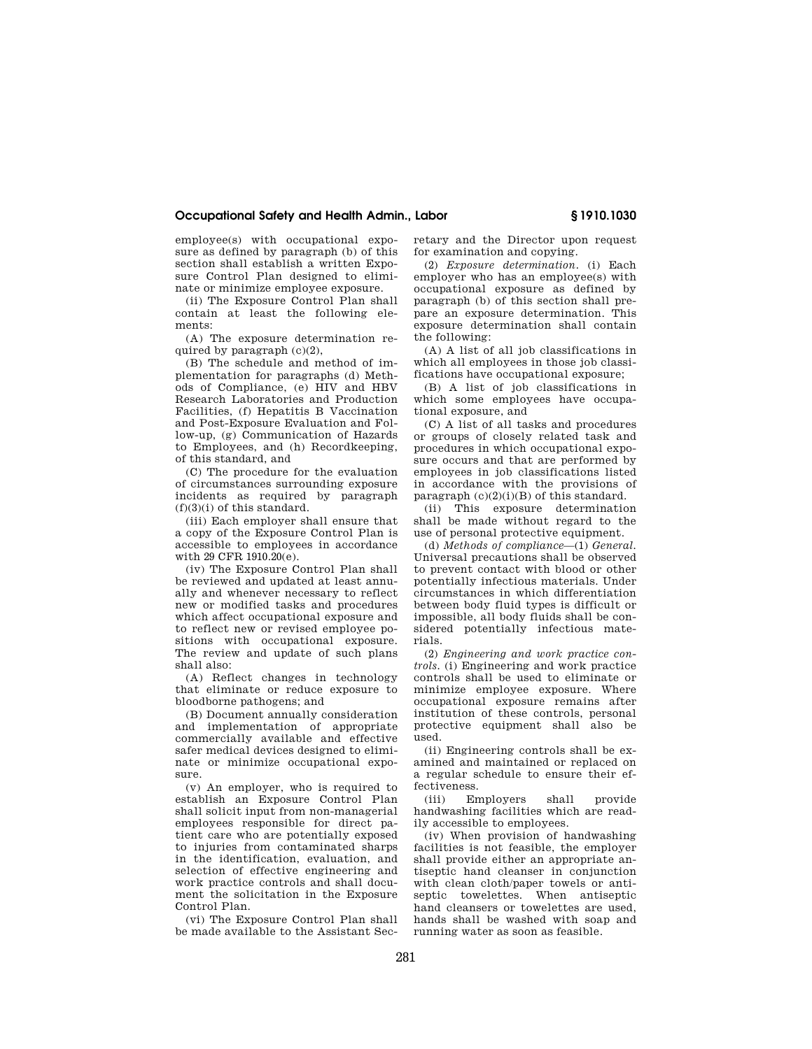employee(s) with occupational exposure as defined by paragraph (b) of this section shall establish a written Exposure Control Plan designed to eliminate or minimize employee exposure.

(ii) The Exposure Control Plan shall contain at least the following elements:

(A) The exposure determination required by paragraph  $(c)(2)$ ,

(B) The schedule and method of implementation for paragraphs (d) Methods of Compliance, (e) HIV and HBV Research Laboratories and Production Facilities, (f) Hepatitis B Vaccination and Post-Exposure Evaluation and Follow-up, (g) Communication of Hazards to Employees, and (h) Recordkeeping, of this standard, and

(C) The procedure for the evaluation of circumstances surrounding exposure incidents as required by paragraph (f)(3)(i) of this standard.

(iii) Each employer shall ensure that a copy of the Exposure Control Plan is accessible to employees in accordance with 29 CFR 1910.20(e).

(iv) The Exposure Control Plan shall be reviewed and updated at least annually and whenever necessary to reflect new or modified tasks and procedures which affect occupational exposure and to reflect new or revised employee positions with occupational exposure. The review and update of such plans shall also:

(A) Reflect changes in technology that eliminate or reduce exposure to bloodborne pathogens; and

(B) Document annually consideration and implementation of appropriate commercially available and effective safer medical devices designed to eliminate or minimize occupational exposure.

(v) An employer, who is required to establish an Exposure Control Plan shall solicit input from non-managerial employees responsible for direct patient care who are potentially exposed to injuries from contaminated sharps in the identification, evaluation, and selection of effective engineering and work practice controls and shall document the solicitation in the Exposure Control Plan.

(vi) The Exposure Control Plan shall be made available to the Assistant Secretary and the Director upon request for examination and copying.

(2) *Exposure determination.* (i) Each employer who has an employee(s) with occupational exposure as defined by paragraph (b) of this section shall prepare an exposure determination. This exposure determination shall contain the following:

(A) A list of all job classifications in which all employees in those job classifications have occupational exposure;

(B) A list of job classifications in which some employees have occupational exposure, and

(C) A list of all tasks and procedures or groups of closely related task and procedures in which occupational exposure occurs and that are performed by employees in job classifications listed in accordance with the provisions of paragraph  $(c)(2)(i)(B)$  of this standard.

(ii) This exposure determination shall be made without regard to the use of personal protective equipment.

(d) *Methods of compliance*—(1) *General.*  Universal precautions shall be observed to prevent contact with blood or other potentially infectious materials. Under circumstances in which differentiation between body fluid types is difficult or impossible, all body fluids shall be considered potentially infectious materials.

(2) *Engineering and work practice controls.* (i) Engineering and work practice controls shall be used to eliminate or minimize employee exposure. Where occupational exposure remains after institution of these controls, personal protective equipment shall also be used.

(ii) Engineering controls shall be examined and maintained or replaced on a regular schedule to ensure their effectiveness.

(iii) Employers shall provide handwashing facilities which are readily accessible to employees.

(iv) When provision of handwashing facilities is not feasible, the employer shall provide either an appropriate antiseptic hand cleanser in conjunction with clean cloth/paper towels or antiseptic towelettes. When antiseptic hand cleansers or towelettes are used, hands shall be washed with soap and running water as soon as feasible.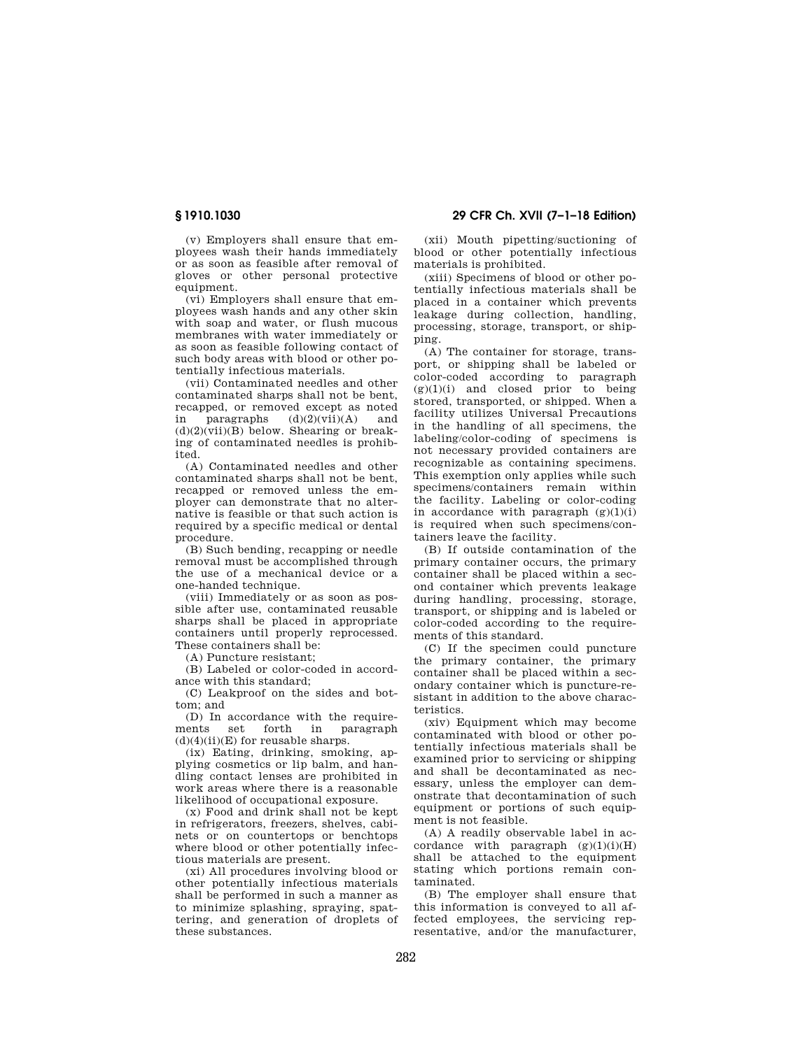(v) Employers shall ensure that employees wash their hands immediately or as soon as feasible after removal of gloves or other personal protective equipment.

(vi) Employers shall ensure that employees wash hands and any other skin with soap and water, or flush mucous membranes with water immediately or as soon as feasible following contact of such body areas with blood or other potentially infectious materials.

(vii) Contaminated needles and other contaminated sharps shall not be bent, recapped, or removed except as noted<br>in paragraphs  $(d)(2)(\pi i)(A)$  and in paragraphs  $(d)(2)(vii)(A)$  $(d)(2)(vii)(B)$  below. Shearing or breaking of contaminated needles is prohibited.

(A) Contaminated needles and other contaminated sharps shall not be bent, recapped or removed unless the employer can demonstrate that no alternative is feasible or that such action is required by a specific medical or dental procedure.

(B) Such bending, recapping or needle removal must be accomplished through the use of a mechanical device or a one-handed technique.

(viii) Immediately or as soon as possible after use, contaminated reusable sharps shall be placed in appropriate containers until properly reprocessed. These containers shall be:

(A) Puncture resistant;

(B) Labeled or color-coded in accordance with this standard;

(C) Leakproof on the sides and bottom; and

(D) In accordance with the require-<br>ments set forth in paragraph ments set forth in paragraph  $(d)(4)(ii)(E)$  for reusable sharps.

(ix) Eating, drinking, smoking, applying cosmetics or lip balm, and handling contact lenses are prohibited in work areas where there is a reasonable likelihood of occupational exposure.

(x) Food and drink shall not be kept in refrigerators, freezers, shelves, cabinets or on countertops or benchtops where blood or other potentially infectious materials are present.

(xi) All procedures involving blood or other potentially infectious materials shall be performed in such a manner as to minimize splashing, spraying, spattering, and generation of droplets of these substances.

**§ 1910.1030 29 CFR Ch. XVII (7–1–18 Edition)** 

(xii) Mouth pipetting/suctioning of blood or other potentially infectious materials is prohibited.

(xiii) Specimens of blood or other potentially infectious materials shall be placed in a container which prevents leakage during collection, handling, processing, storage, transport, or shipping.

(A) The container for storage, transport, or shipping shall be labeled or color-coded according to paragraph  $(g)(1)(i)$  and closed prior to being stored, transported, or shipped. When a facility utilizes Universal Precautions in the handling of all specimens, the labeling/color-coding of specimens is not necessary provided containers are recognizable as containing specimens. This exemption only applies while such specimens/containers remain within the facility. Labeling or color-coding in accordance with paragraph  $(g)(1)(i)$ is required when such specimens/containers leave the facility.

(B) If outside contamination of the primary container occurs, the primary container shall be placed within a second container which prevents leakage during handling, processing, storage, transport, or shipping and is labeled or color-coded according to the requirements of this standard.

(C) If the specimen could puncture the primary container, the primary container shall be placed within a secondary container which is puncture-resistant in addition to the above characteristics.

(xiv) Equipment which may become contaminated with blood or other potentially infectious materials shall be examined prior to servicing or shipping and shall be decontaminated as necessary, unless the employer can demonstrate that decontamination of such equipment or portions of such equipment is not feasible.

(A) A readily observable label in accordance with paragraph  $(g)(1)(i)(H)$ shall be attached to the equipment stating which portions remain contaminated.

(B) The employer shall ensure that this information is conveyed to all affected employees, the servicing representative, and/or the manufacturer,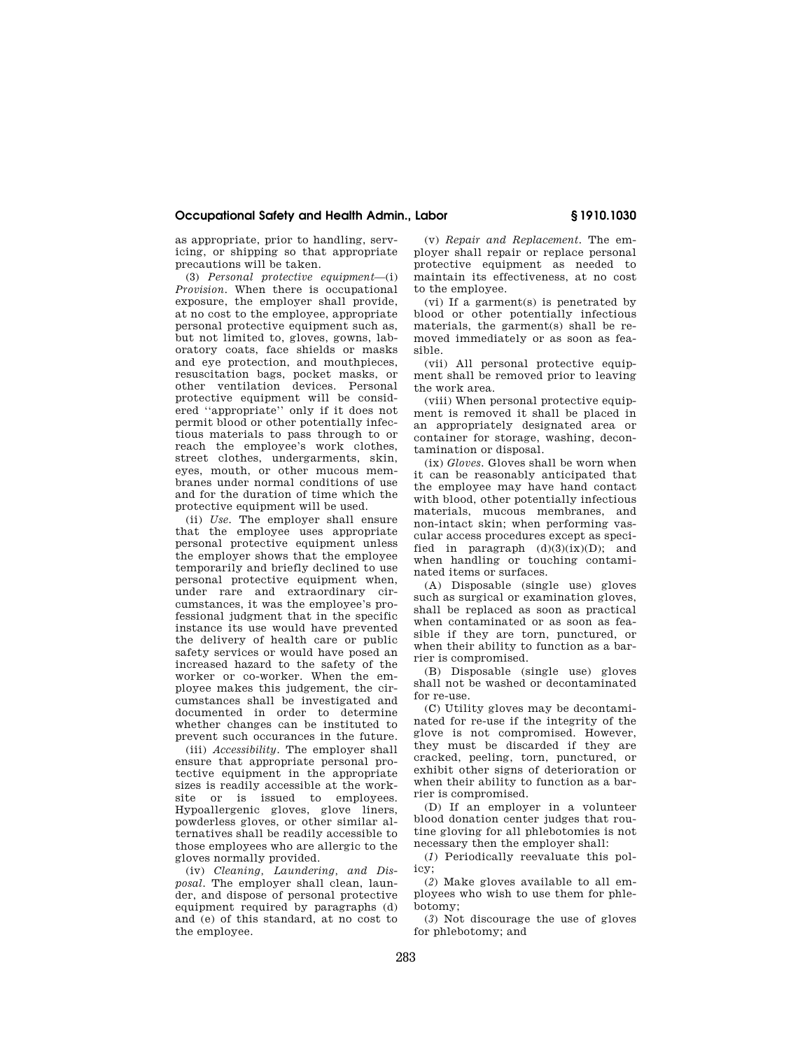as appropriate, prior to handling, servicing, or shipping so that appropriate precautions will be taken.

(3) *Personal protective equipment*—(i) *Provision.* When there is occupational exposure, the employer shall provide, at no cost to the employee, appropriate personal protective equipment such as, but not limited to, gloves, gowns, laboratory coats, face shields or masks and eye protection, and mouthpieces, resuscitation bags, pocket masks, or other ventilation devices. Personal protective equipment will be considered ''appropriate'' only if it does not permit blood or other potentially infectious materials to pass through to or reach the employee's work clothes, street clothes, undergarments, skin, eyes, mouth, or other mucous membranes under normal conditions of use and for the duration of time which the protective equipment will be used.

(ii) *Use.* The employer shall ensure that the employee uses appropriate personal protective equipment unless the employer shows that the employee temporarily and briefly declined to use personal protective equipment when, under rare and extraordinary circumstances, it was the employee's professional judgment that in the specific instance its use would have prevented the delivery of health care or public safety services or would have posed an increased hazard to the safety of the worker or co-worker. When the employee makes this judgement, the circumstances shall be investigated and documented in order to determine whether changes can be instituted to prevent such occurances in the future.

(iii) *Accessibility.* The employer shall ensure that appropriate personal protective equipment in the appropriate sizes is readily accessible at the worksite or is issued to employees. Hypoallergenic gloves, glove liners, powderless gloves, or other similar alternatives shall be readily accessible to those employees who are allergic to the gloves normally provided.

(iv) *Cleaning, Laundering, and Disposal.* The employer shall clean, launder, and dispose of personal protective equipment required by paragraphs (d) and (e) of this standard, at no cost to the employee.

(v) *Repair and Replacement.* The employer shall repair or replace personal protective equipment as needed to maintain its effectiveness, at no cost to the employee.

(vi) If a garment(s) is penetrated by blood or other potentially infectious materials, the garment(s) shall be removed immediately or as soon as feasible.

(vii) All personal protective equipment shall be removed prior to leaving the work area.

(viii) When personal protective equipment is removed it shall be placed in an appropriately designated area or container for storage, washing, decontamination or disposal.

 $\left( \text{ix} \right) \, \text{Gloves}.$  Gloves shall be worn when it can be reasonably anticipated that the employee may have hand contact with blood, other potentially infectious materials, mucous membranes, and non-intact skin; when performing vascular access procedures except as specified in paragraph  $(d)(3)(ix)(D)$ ; and when handling or touching contaminated items or surfaces.

(A) Disposable (single use) gloves such as surgical or examination gloves, shall be replaced as soon as practical when contaminated or as soon as feasible if they are torn, punctured, or when their ability to function as a barrier is compromised.

(B) Disposable (single use) gloves shall not be washed or decontaminated for re-use.

(C) Utility gloves may be decontaminated for re-use if the integrity of the glove is not compromised. However, they must be discarded if they are cracked, peeling, torn, punctured, or exhibit other signs of deterioration or when their ability to function as a barrier is compromised.

(D) If an employer in a volunteer blood donation center judges that routine gloving for all phlebotomies is not necessary then the employer shall:

(*1*) Periodically reevaluate this policy;

(*2*) Make gloves available to all employees who wish to use them for phlebotomy;

(*3*) Not discourage the use of gloves for phlebotomy; and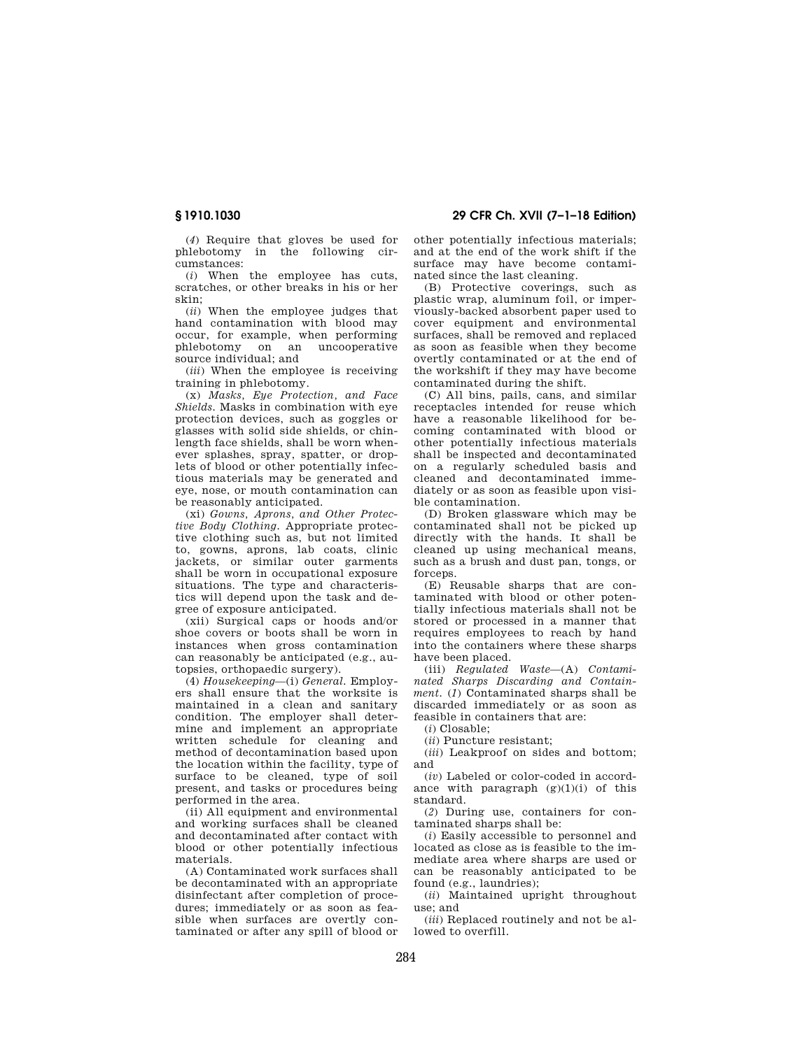**§ 1910.1030 29 CFR Ch. XVII (7–1–18 Edition)** 

(*4*) Require that gloves be used for phlebotomy in the following circumstances:

(*i*) When the employee has cuts, scratches, or other breaks in his or her skin;

(*ii*) When the employee judges that hand contamination with blood may occur, for example, when performing phlebotomy on an uncooperative source individual; and

(*iii*) When the employee is receiving training in phlebotomy.

(x) *Masks, Eye Protection, and Face Shields.* Masks in combination with eye protection devices, such as goggles or glasses with solid side shields, or chinlength face shields, shall be worn whenever splashes, spray, spatter, or droplets of blood or other potentially infectious materials may be generated and eye, nose, or mouth contamination can be reasonably anticipated.

(xi) *Gowns, Aprons, and Other Protective Body Clothing.* Appropriate protective clothing such as, but not limited to, gowns, aprons, lab coats, clinic jackets, or similar outer garments shall be worn in occupational exposure situations. The type and characteristics will depend upon the task and degree of exposure anticipated.

(xii) Surgical caps or hoods and/or shoe covers or boots shall be worn in instances when gross contamination can reasonably be anticipated (e.g., autopsies, orthopaedic surgery).

(4) *Housekeeping*—(i) *General.* Employers shall ensure that the worksite is maintained in a clean and sanitary condition. The employer shall determine and implement an appropriate written schedule for cleaning and method of decontamination based upon the location within the facility, type of surface to be cleaned, type of soil present, and tasks or procedures being performed in the area.

(ii) All equipment and environmental and working surfaces shall be cleaned and decontaminated after contact with blood or other potentially infectious materials.

(A) Contaminated work surfaces shall be decontaminated with an appropriate disinfectant after completion of procedures; immediately or as soon as feasible when surfaces are overtly contaminated or after any spill of blood or other potentially infectious materials; and at the end of the work shift if the surface may have become contaminated since the last cleaning.

(B) Protective coverings, such as plastic wrap, aluminum foil, or imperviously-backed absorbent paper used to cover equipment and environmental surfaces, shall be removed and replaced as soon as feasible when they become overtly contaminated or at the end of the workshift if they may have become contaminated during the shift.

(C) All bins, pails, cans, and similar receptacles intended for reuse which have a reasonable likelihood for becoming contaminated with blood or other potentially infectious materials shall be inspected and decontaminated on a regularly scheduled basis and cleaned and decontaminated immediately or as soon as feasible upon visible contamination.

(D) Broken glassware which may be contaminated shall not be picked up directly with the hands. It shall be cleaned up using mechanical means, such as a brush and dust pan, tongs, or forceps.

(E) Reusable sharps that are contaminated with blood or other potentially infectious materials shall not be stored or processed in a manner that requires employees to reach by hand into the containers where these sharps have been placed.

(iii) *Regulated Waste*—(A) *Contaminated Sharps Discarding and Containment.* (*1*) Contaminated sharps shall be discarded immediately or as soon as feasible in containers that are:

(*i*) Closable;

(*ii*) Puncture resistant;

(*iii*) Leakproof on sides and bottom; and

(*iv*) Labeled or color-coded in accordance with paragraph  $(g)(1)(i)$  of this standard.

(*2*) During use, containers for contaminated sharps shall be:

(*i*) Easily accessible to personnel and located as close as is feasible to the immediate area where sharps are used or can be reasonably anticipated to be found (e.g., laundries);

(*ii*) Maintained upright throughout use; and

(*iii*) Replaced routinely and not be allowed to overfill.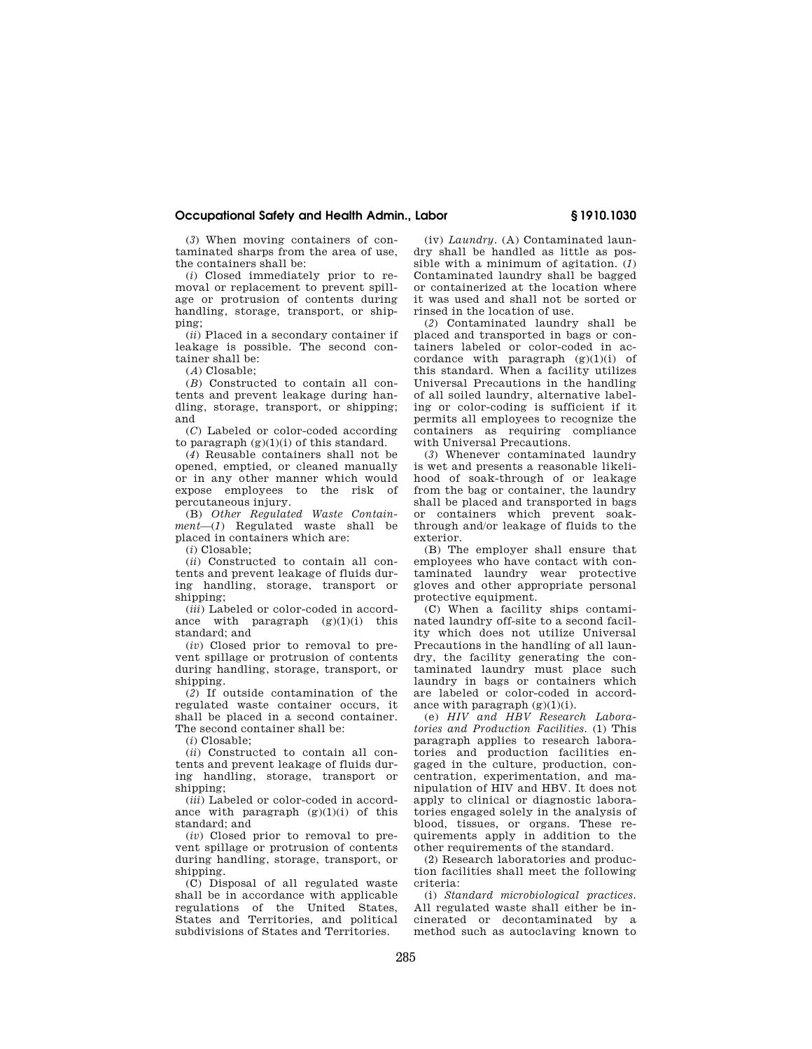(*3*) When moving containers of contaminated sharps from the area of use, the containers shall be:

(*i*) Closed immediately prior to removal or replacement to prevent spillage or protrusion of contents during handling, storage, transport, or shipping;

(*ii*) Placed in a secondary container if leakage is possible. The second container shall be:

(*A*) Closable;

(*B*) Constructed to contain all contents and prevent leakage during handling, storage, transport, or shipping; and

(*C*) Labeled or color-coded according to paragraph  $(g)(1)(i)$  of this standard.

(*4*) Reusable containers shall not be opened, emptied, or cleaned manually or in any other manner which would expose employees to the risk of percutaneous injury.

(B) *Other Regulated Waste Containment*—(*1*) Regulated waste shall be placed in containers which are:

(*i*) Closable;

(*ii*) Constructed to contain all contents and prevent leakage of fluids during handling, storage, transport or shipping;

(*iii*) Labeled or color-coded in accordance with paragraph  $(g)(1)(i)$  this standard; and

(*iv*) Closed prior to removal to prevent spillage or protrusion of contents during handling, storage, transport, or shipping.

(*2*) If outside contamination of the regulated waste container occurs, it shall be placed in a second container. The second container shall be:

(*i*) Closable;

(*ii*) Constructed to contain all contents and prevent leakage of fluids during handling, storage, transport or shipping;

(*iii*) Labeled or color-coded in accordance with paragraph  $(g)(1)(i)$  of this standard; and

(*iv*) Closed prior to removal to prevent spillage or protrusion of contents during handling, storage, transport, or shipping.

(C) Disposal of all regulated waste shall be in accordance with applicable regulations of the United States, States and Territories, and political subdivisions of States and Territories.

(iv) *Laundry.* (A) Contaminated laundry shall be handled as little as possible with a minimum of agitation. (*1*) Contaminated laundry shall be bagged or containerized at the location where it was used and shall not be sorted or rinsed in the location of use.

(*2*) Contaminated laundry shall be placed and transported in bags or containers labeled or color-coded in accordance with paragraph  $(g)(1)(i)$  of this standard. When a facility utilizes Universal Precautions in the handling of all soiled laundry, alternative labeling or color-coding is sufficient if it permits all employees to recognize the containers as requiring compliance with Universal Precautions.

(*3*) Whenever contaminated laundry is wet and presents a reasonable likelihood of soak-through of or leakage from the bag or container, the laundry shall be placed and transported in bags or containers which prevent soakthrough and/or leakage of fluids to the exterior.

(B) The employer shall ensure that employees who have contact with contaminated laundry wear protective gloves and other appropriate personal protective equipment.

(C) When a facility ships contaminated laundry off-site to a second facility which does not utilize Universal Precautions in the handling of all laundry, the facility generating the contaminated laundry must place such laundry in bags or containers which are labeled or color-coded in accordance with paragraph  $(g)(1)(i)$ .

(e) *HIV and HBV Research Laboratories and Production Facilities.* (1) This paragraph applies to research laboratories and production facilities engaged in the culture, production, concentration, experimentation, and manipulation of HIV and HBV. It does not apply to clinical or diagnostic laboratories engaged solely in the analysis of blood, tissues, or organs. These requirements apply in addition to the other requirements of the standard.

(2) Research laboratories and production facilities shall meet the following criteria:

(i) *Standard microbiological practices.*  All regulated waste shall either be incinerated or decontaminated by a method such as autoclaving known to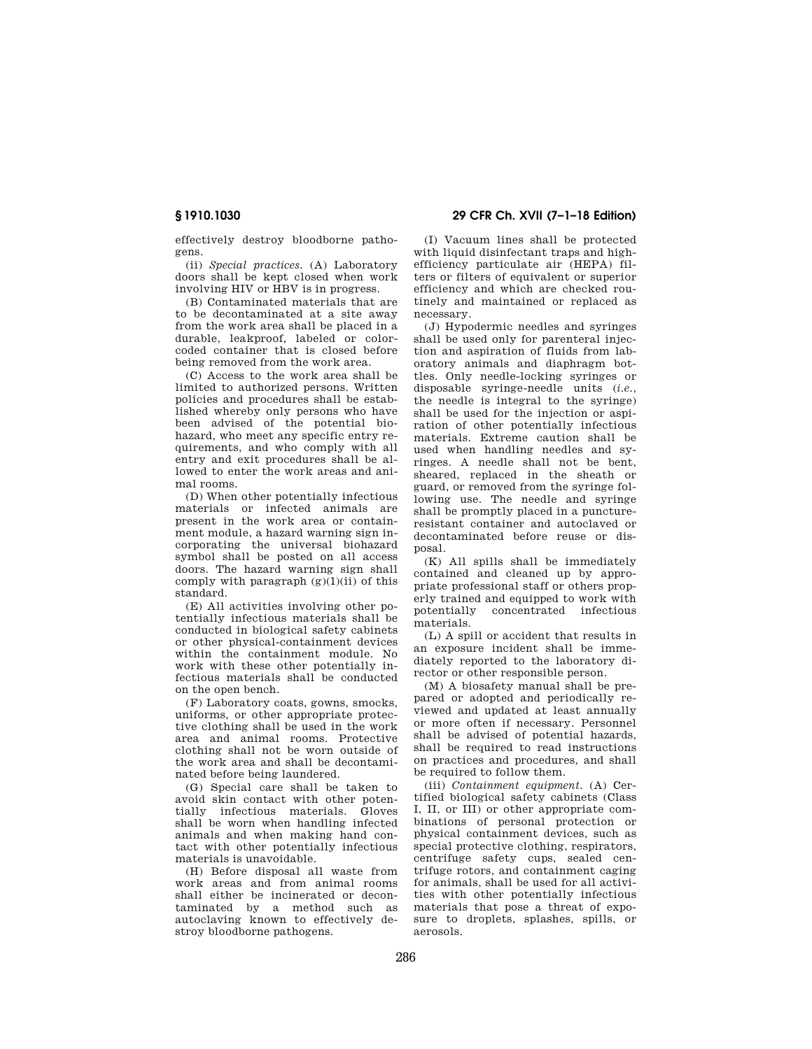**§ 1910.1030 29 CFR Ch. XVII (7–1–18 Edition)** 

effectively destroy bloodborne pathogens.

(ii) *Special practices.* (A) Laboratory doors shall be kept closed when work involving HIV or HBV is in progress.

(B) Contaminated materials that are to be decontaminated at a site away from the work area shall be placed in a durable, leakproof, labeled or colorcoded container that is closed before being removed from the work area.

(C) Access to the work area shall be limited to authorized persons. Written policies and procedures shall be established whereby only persons who have been advised of the potential biohazard, who meet any specific entry requirements, and who comply with all entry and exit procedures shall be allowed to enter the work areas and animal rooms.

(D) When other potentially infectious materials or infected animals are present in the work area or containment module, a hazard warning sign incorporating the universal biohazard symbol shall be posted on all access doors. The hazard warning sign shall comply with paragraph  $(g)(1)(ii)$  of this standard.

(E) All activities involving other potentially infectious materials shall be conducted in biological safety cabinets or other physical-containment devices within the containment module. No work with these other potentially infectious materials shall be conducted on the open bench.

(F) Laboratory coats, gowns, smocks, uniforms, or other appropriate protective clothing shall be used in the work area and animal rooms. Protective clothing shall not be worn outside of the work area and shall be decontaminated before being laundered.

(G) Special care shall be taken to avoid skin contact with other potentially infectious materials. Gloves shall be worn when handling infected animals and when making hand contact with other potentially infectious materials is unavoidable.

(H) Before disposal all waste from work areas and from animal rooms shall either be incinerated or decontaminated by a method such as autoclaving known to effectively destroy bloodborne pathogens.

(I) Vacuum lines shall be protected with liquid disinfectant traps and highefficiency particulate air (HEPA) filters or filters of equivalent or superior efficiency and which are checked routinely and maintained or replaced as necessary.

(J) Hypodermic needles and syringes shall be used only for parenteral injection and aspiration of fluids from laboratory animals and diaphragm bottles. Only needle-locking syringes or disposable syringe-needle units (*i.e.*, the needle is integral to the syringe) shall be used for the injection or aspiration of other potentially infectious materials. Extreme caution shall be used when handling needles and syringes. A needle shall not be bent, sheared, replaced in the sheath or guard, or removed from the syringe following use. The needle and syringe shall be promptly placed in a punctureresistant container and autoclaved or decontaminated before reuse or disposal.

(K) All spills shall be immediately contained and cleaned up by appropriate professional staff or others properly trained and equipped to work with potentially concentrated infectious materials.

(L) A spill or accident that results in an exposure incident shall be immediately reported to the laboratory director or other responsible person.

(M) A biosafety manual shall be prepared or adopted and periodically reviewed and updated at least annually or more often if necessary. Personnel shall be advised of potential hazards, shall be required to read instructions on practices and procedures, and shall be required to follow them.

(iii) *Containment equipment.* (A) Certified biological safety cabinets (Class I, II, or III) or other appropriate combinations of personal protection or physical containment devices, such as special protective clothing, respirators, centrifuge safety cups, sealed centrifuge rotors, and containment caging for animals, shall be used for all activities with other potentially infectious materials that pose a threat of exposure to droplets, splashes, spills, or aerosols.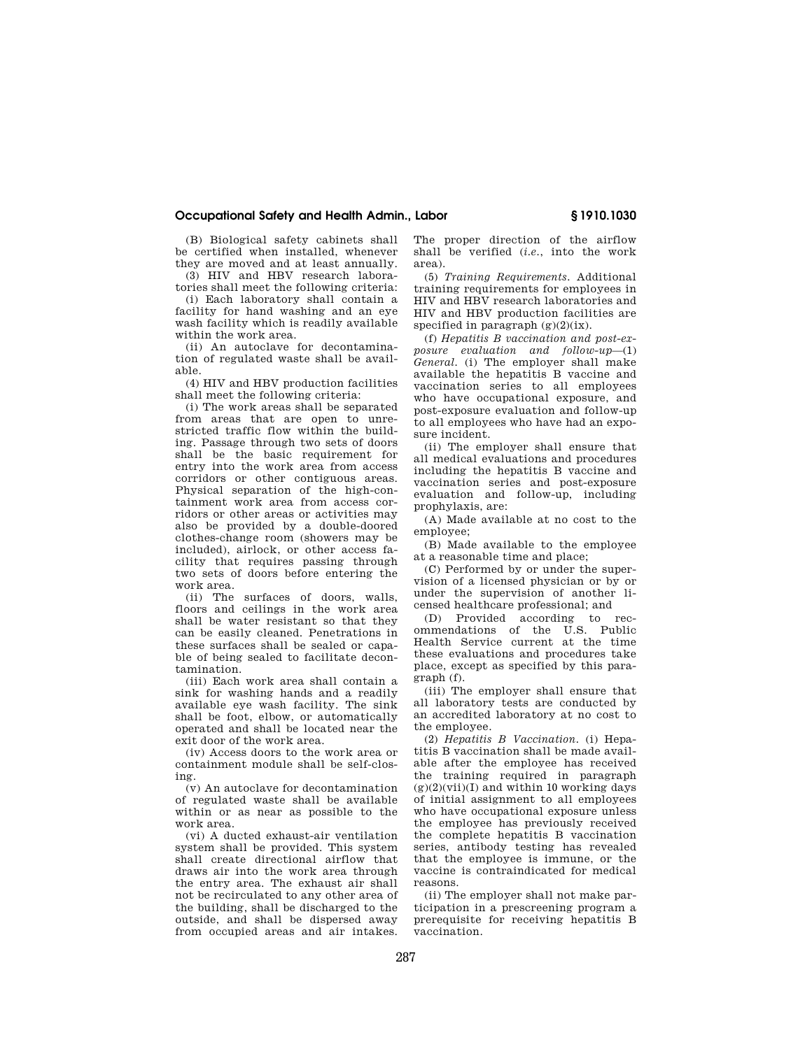(B) Biological safety cabinets shall be certified when installed, whenever they are moved and at least annually.

(3) HIV and HBV research laboratories shall meet the following criteria:

(i) Each laboratory shall contain a facility for hand washing and an eye wash facility which is readily available within the work area.

(ii) An autoclave for decontamination of regulated waste shall be available.

(4) HIV and HBV production facilities shall meet the following criteria:

(i) The work areas shall be separated from areas that are open to unrestricted traffic flow within the building. Passage through two sets of doors shall be the basic requirement for entry into the work area from access corridors or other contiguous areas. Physical separation of the high-containment work area from access corridors or other areas or activities may also be provided by a double-doored clothes-change room (showers may be included), airlock, or other access facility that requires passing through two sets of doors before entering the work area.

(ii) The surfaces of doors, walls, floors and ceilings in the work area shall be water resistant so that they can be easily cleaned. Penetrations in these surfaces shall be sealed or capable of being sealed to facilitate decontamination.

(iii) Each work area shall contain a sink for washing hands and a readily available eye wash facility. The sink shall be foot, elbow, or automatically operated and shall be located near the exit door of the work area.

(iv) Access doors to the work area or containment module shall be self-closing.

(v) An autoclave for decontamination of regulated waste shall be available within or as near as possible to the work area.

(vi) A ducted exhaust-air ventilation system shall be provided. This system shall create directional airflow that draws air into the work area through the entry area. The exhaust air shall not be recirculated to any other area of the building, shall be discharged to the outside, and shall be dispersed away from occupied areas and air intakes.

The proper direction of the airflow shall be verified (*i.e.*, into the work area).

(5) *Training Requirements.* Additional training requirements for employees in HIV and HBV research laboratories and HIV and HBV production facilities are specified in paragraph  $(g)(2)(ix)$ .

(f) *Hepatitis B vaccination and post-exposure evaluation and follow-up*—(1) *General.* (i) The employer shall make available the hepatitis B vaccine and vaccination series to all employees who have occupational exposure, and post-exposure evaluation and follow-up to all employees who have had an exposure incident.

(ii) The employer shall ensure that all medical evaluations and procedures including the hepatitis B vaccine and vaccination series and post-exposure evaluation and follow-up, including prophylaxis, are:

(A) Made available at no cost to the employee;

(B) Made available to the employee at a reasonable time and place;

(C) Performed by or under the supervision of a licensed physician or by or under the supervision of another licensed healthcare professional; and

(D) Provided according to recommendations of the U.S. Public Health Service current at the time these evaluations and procedures take place, except as specified by this paragraph (f).

(iii) The employer shall ensure that all laboratory tests are conducted by an accredited laboratory at no cost to the employee.

(2) *Hepatitis B Vaccination.* (i) Hepatitis B vaccination shall be made available after the employee has received the training required in paragraph  $(g)(2)(\n$ i)(I) and within 10 working days of initial assignment to all employees who have occupational exposure unless the employee has previously received the complete hepatitis B vaccination series, antibody testing has revealed that the employee is immune, or the vaccine is contraindicated for medical reasons.

(ii) The employer shall not make participation in a prescreening program a prerequisite for receiving hepatitis B vaccination.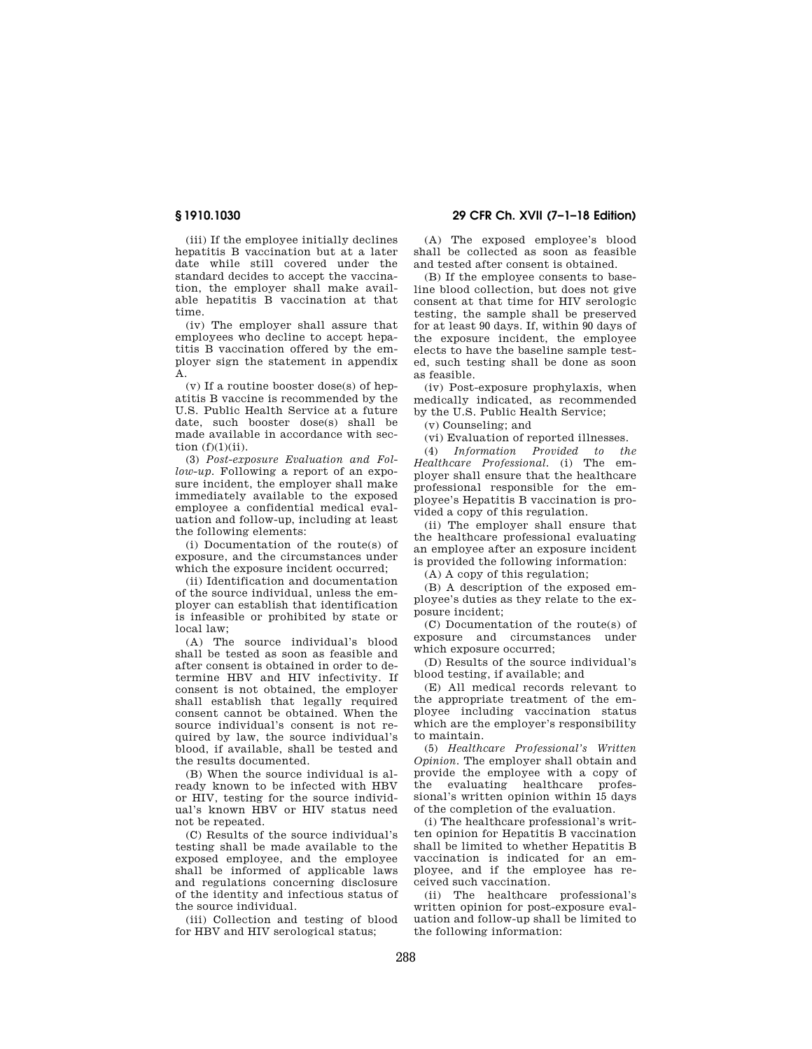**§ 1910.1030 29 CFR Ch. XVII (7–1–18 Edition)** 

(iii) If the employee initially declines hepatitis B vaccination but at a later date while still covered under the standard decides to accept the vaccination, the employer shall make available hepatitis B vaccination at that time.

(iv) The employer shall assure that employees who decline to accept hepatitis B vaccination offered by the employer sign the statement in appendix A.

(v) If a routine booster dose(s) of hepatitis B vaccine is recommended by the U.S. Public Health Service at a future date, such booster dose(s) shall be made available in accordance with section  $(f)(1)(ii)$ .

(3) *Post-exposure Evaluation and Follow-up.* Following a report of an exposure incident, the employer shall make immediately available to the exposed employee a confidential medical evaluation and follow-up, including at least the following elements:

(i) Documentation of the route(s) of exposure, and the circumstances under which the exposure incident occurred;

(ii) Identification and documentation of the source individual, unless the employer can establish that identification is infeasible or prohibited by state or local law;

(A) The source individual's blood shall be tested as soon as feasible and after consent is obtained in order to determine HBV and HIV infectivity. If consent is not obtained, the employer shall establish that legally required consent cannot be obtained. When the source individual's consent is not required by law, the source individual's blood, if available, shall be tested and the results documented.

(B) When the source individual is already known to be infected with HBV or HIV, testing for the source individual's known HBV or HIV status need not be repeated.

(C) Results of the source individual's testing shall be made available to the exposed employee, and the employee shall be informed of applicable laws and regulations concerning disclosure of the identity and infectious status of the source individual.

(iii) Collection and testing of blood for HBV and HIV serological status;

(A) The exposed employee's blood shall be collected as soon as feasible and tested after consent is obtained.

(B) If the employee consents to baseline blood collection, but does not give consent at that time for HIV serologic testing, the sample shall be preserved for at least 90 days. If, within 90 days of the exposure incident, the employee elects to have the baseline sample tested, such testing shall be done as soon as feasible.

(iv) Post-exposure prophylaxis, when medically indicated, as recommended by the U.S. Public Health Service;

(v) Counseling; and

(vi) Evaluation of reported illnesses.

(4) *Information Provided to the Healthcare Professional.* (i) The employer shall ensure that the healthcare professional responsible for the employee's Hepatitis B vaccination is provided a copy of this regulation.

(ii) The employer shall ensure that the healthcare professional evaluating an employee after an exposure incident is provided the following information:

(A) A copy of this regulation;

(B) A description of the exposed employee's duties as they relate to the exposure incident;

(C) Documentation of the route(s) of exposure and circumstances under which exposure occurred;

(D) Results of the source individual's blood testing, if available; and

(E) All medical records relevant to the appropriate treatment of the employee including vaccination status which are the employer's responsibility to maintain.

(5) *Healthcare Professional's Written Opinion.* The employer shall obtain and provide the employee with a copy of the evaluating healthcare professional's written opinion within 15 days of the completion of the evaluation.

(i) The healthcare professional's written opinion for Hepatitis B vaccination shall be limited to whether Hepatitis B vaccination is indicated for an employee, and if the employee has received such vaccination.

(ii) The healthcare professional's written opinion for post-exposure evaluation and follow-up shall be limited to the following information: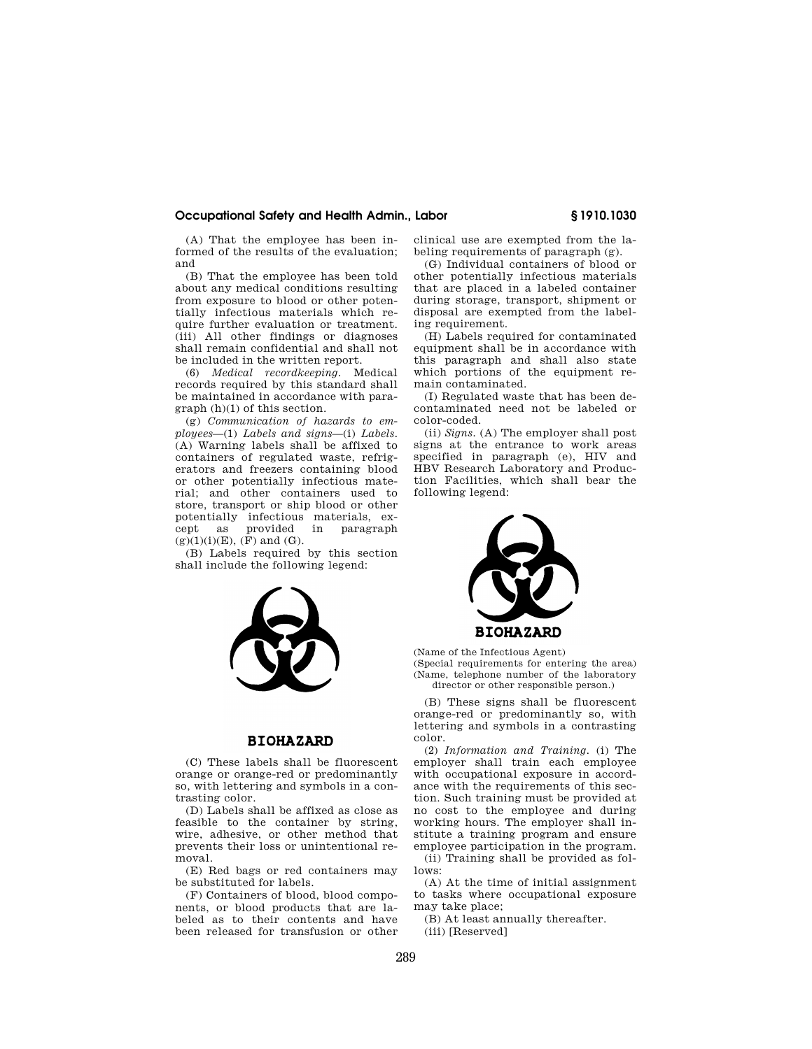(A) That the employee has been informed of the results of the evaluation; and

(B) That the employee has been told about any medical conditions resulting from exposure to blood or other potentially infectious materials which require further evaluation or treatment. (iii) All other findings or diagnoses shall remain confidential and shall not be included in the written report.

(6) *Medical recordkeeping.* Medical records required by this standard shall be maintained in accordance with paragraph (h)(1) of this section.

(g) *Communication of hazards to employees*—(1) *Labels and signs*—(i) *Labels.*  (A) Warning labels shall be affixed to containers of regulated waste, refrigerators and freezers containing blood or other potentially infectious material; and other containers used to store, transport or ship blood or other potentially infectious materials, except as provided in paragraph  $(g)(1)(i)(E)$ ,  $(F)$  and  $(G)$ .

(B) Labels required by this section shall include the following legend:



# **BIOHAZARD**

(C) These labels shall be fluorescent orange or orange-red or predominantly so, with lettering and symbols in a contrasting color.

(D) Labels shall be affixed as close as feasible to the container by string, wire, adhesive, or other method that prevents their loss or unintentional removal.

(E) Red bags or red containers may be substituted for labels.

(F) Containers of blood, blood components, or blood products that are labeled as to their contents and have been released for transfusion or other clinical use are exempted from the labeling requirements of paragraph (g).

(G) Individual containers of blood or other potentially infectious materials that are placed in a labeled container during storage, transport, shipment or disposal are exempted from the labeling requirement.

(H) Labels required for contaminated equipment shall be in accordance with this paragraph and shall also state which portions of the equipment remain contaminated.

(I) Regulated waste that has been decontaminated need not be labeled or color-coded.

(ii) *Signs.* (A) The employer shall post signs at the entrance to work areas specified in paragraph (e), HIV and HBV Research Laboratory and Production Facilities, which shall bear the following legend:



(Name of the Infectious Agent) (Special requirements for entering the area) (Name, telephone number of the laboratory director or other responsible person.)

(B) These signs shall be fluorescent orange-red or predominantly so, with lettering and symbols in a contrasting color.

(2) *Information and Training.* (i) The employer shall train each employee with occupational exposure in accordance with the requirements of this section. Such training must be provided at no cost to the employee and during working hours. The employer shall institute a training program and ensure employee participation in the program.

(ii) Training shall be provided as follows:

(A) At the time of initial assignment to tasks where occupational exposure may take place;

(B) At least annually thereafter. (iii) [Reserved]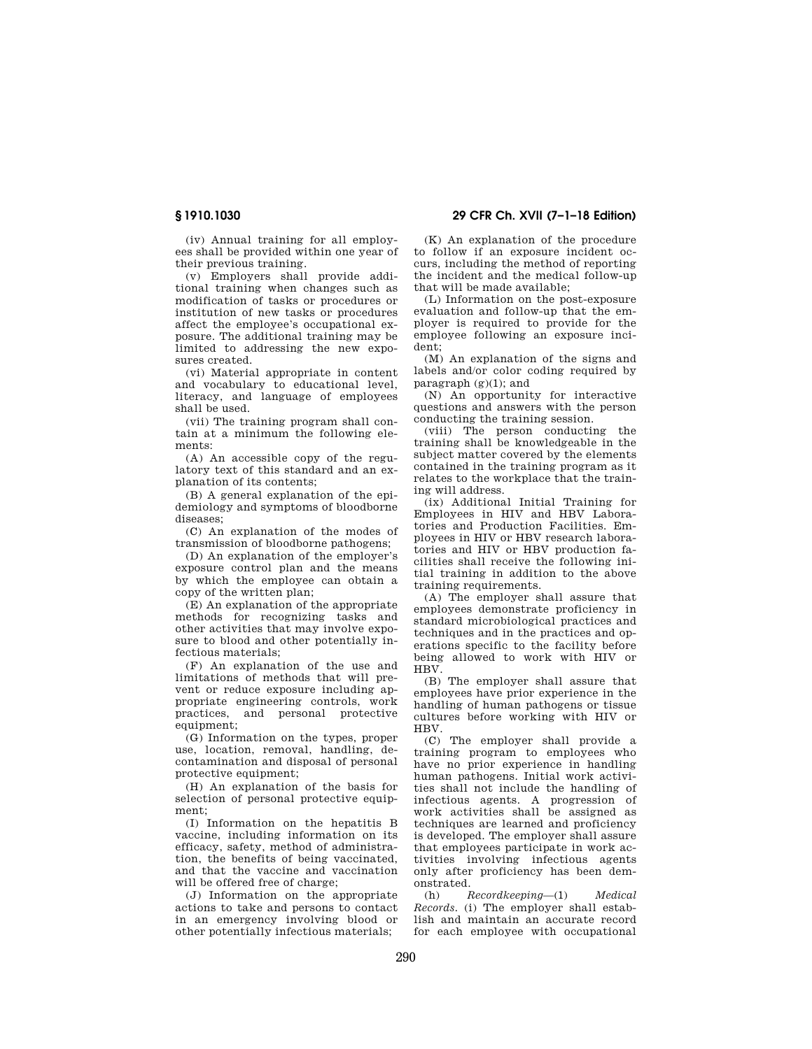(iv) Annual training for all employees shall be provided within one year of their previous training.

(v) Employers shall provide additional training when changes such as modification of tasks or procedures or institution of new tasks or procedures affect the employee's occupational exposure. The additional training may be limited to addressing the new exposures created.

(vi) Material appropriate in content and vocabulary to educational level, literacy, and language of employees shall be used.

(vii) The training program shall contain at a minimum the following elements:

(A) An accessible copy of the regulatory text of this standard and an explanation of its contents;

(B) A general explanation of the epidemiology and symptoms of bloodborne diseases;

(C) An explanation of the modes of transmission of bloodborne pathogens;

(D) An explanation of the employer's exposure control plan and the means by which the employee can obtain a copy of the written plan;

(E) An explanation of the appropriate methods for recognizing tasks and other activities that may involve exposure to blood and other potentially infectious materials;

(F) An explanation of the use and limitations of methods that will prevent or reduce exposure including appropriate engineering controls, work practices, and personal protective equipment;

(G) Information on the types, proper use, location, removal, handling, decontamination and disposal of personal protective equipment;

(H) An explanation of the basis for selection of personal protective equipment;

(I) Information on the hepatitis B vaccine, including information on its efficacy, safety, method of administration, the benefits of being vaccinated, and that the vaccine and vaccination will be offered free of charge;

(J) Information on the appropriate actions to take and persons to contact in an emergency involving blood or other potentially infectious materials;

(K) An explanation of the procedure to follow if an exposure incident occurs, including the method of reporting the incident and the medical follow-up that will be made available;

(L) Information on the post-exposure evaluation and follow-up that the employer is required to provide for the employee following an exposure incident;

(M) An explanation of the signs and labels and/or color coding required by paragraph  $(g)(1)$ ; and

(N) An opportunity for interactive questions and answers with the person conducting the training session.

(viii) The person conducting the training shall be knowledgeable in the subject matter covered by the elements contained in the training program as it relates to the workplace that the training will address.

(ix) Additional Initial Training for Employees in HIV and HBV Laboratories and Production Facilities. Employees in HIV or HBV research laboratories and HIV or HBV production facilities shall receive the following initial training in addition to the above training requirements.

(A) The employer shall assure that employees demonstrate proficiency in standard microbiological practices and techniques and in the practices and operations specific to the facility before being allowed to work with HIV or HBV.

(B) The employer shall assure that employees have prior experience in the handling of human pathogens or tissue cultures before working with HIV or HBV.

(C) The employer shall provide a training program to employees who have no prior experience in handling human pathogens. Initial work activities shall not include the handling of infectious agents. A progression of work activities shall be assigned as techniques are learned and proficiency is developed. The employer shall assure that employees participate in work activities involving infectious agents only after proficiency has been demonstrated.<br>(h)  $\frac{1}{2}$ 

(h) *Recordkeeping*—(1) *Medical Records.* (i) The employer shall establish and maintain an accurate record for each employee with occupational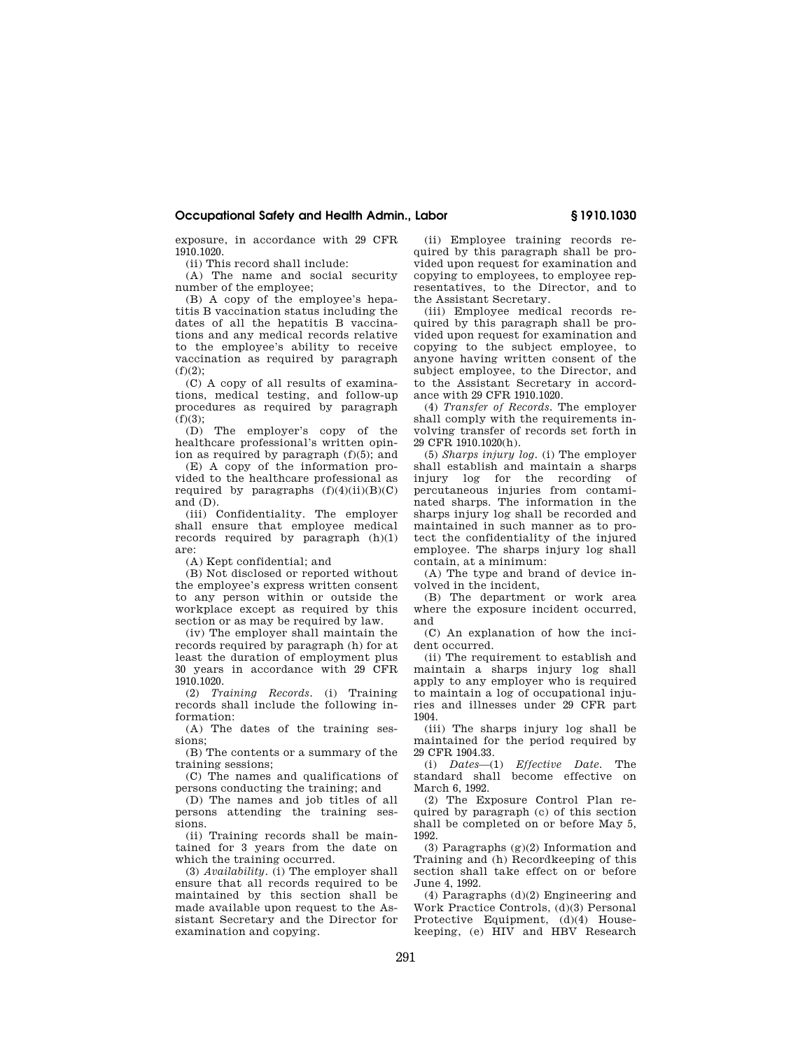exposure, in accordance with 29 CFR 1910.1020.

(ii) This record shall include:

(A) The name and social security number of the employee;

(B) A copy of the employee's hepatitis B vaccination status including the dates of all the hepatitis B vaccinations and any medical records relative to the employee's ability to receive vaccination as required by paragraph  $(f)(2)$ ;

(C) A copy of all results of examinations, medical testing, and follow-up procedures as required by paragraph  $(f)(3)$ ;

(D) The employer's copy of the healthcare professional's written opinion as required by paragraph (f)(5); and

(E) A copy of the information provided to the healthcare professional as required by paragraphs  $(f)(4)(ii)(B)(C)$ and (D).

(iii) Confidentiality. The employer shall ensure that employee medical records required by paragraph  $(h)(1)$ are:

(A) Kept confidential; and

(B) Not disclosed or reported without the employee's express written consent to any person within or outside the workplace except as required by this section or as may be required by law.

(iv) The employer shall maintain the records required by paragraph (h) for at least the duration of employment plus 30 years in accordance with 29 CFR 1910.1020.

(2) *Training Records.* (i) Training records shall include the following information:

(A) The dates of the training sessions;

(B) The contents or a summary of the training sessions;

(C) The names and qualifications of persons conducting the training; and

(D) The names and job titles of all persons attending the training sessions.

(ii) Training records shall be maintained for 3 years from the date on which the training occurred.

(3) *Availability.* (i) The employer shall ensure that all records required to be maintained by this section shall be made available upon request to the Assistant Secretary and the Director for examination and copying.

(ii) Employee training records required by this paragraph shall be provided upon request for examination and copying to employees, to employee representatives, to the Director, and to the Assistant Secretary.

(iii) Employee medical records required by this paragraph shall be provided upon request for examination and copying to the subject employee, to anyone having written consent of the subject employee, to the Director, and to the Assistant Secretary in accordance with 29 CFR 1910.1020.

(4) *Transfer of Records.* The employer shall comply with the requirements involving transfer of records set forth in 29 CFR 1910.1020(h).

(5) *Sharps injury log.* (i) The employer shall establish and maintain a sharps injury log for the recording of percutaneous injuries from contaminated sharps. The information in the sharps injury log shall be recorded and maintained in such manner as to protect the confidentiality of the injured employee. The sharps injury log shall contain, at a minimum:

(A) The type and brand of device involved in the incident,

(B) The department or work area where the exposure incident occurred, and

(C) An explanation of how the incident occurred.

(ii) The requirement to establish and maintain a sharps injury log shall apply to any employer who is required to maintain a log of occupational injuries and illnesses under 29 CFR part 1904.

(iii) The sharps injury log shall be maintained for the period required by 29 CFR 1904.33.<br>(i) Dates-(1)

(i) *Dates*—(1) *Effective Date.* The standard shall become effective on March 6, 1992.

(2) The Exposure Control Plan required by paragraph (c) of this section shall be completed on or before May 5, 1992.

(3) Paragraphs (g)(2) Information and Training and (h) Recordkeeping of this section shall take effect on or before June 4, 1992.

(4) Paragraphs (d)(2) Engineering and Work Practice Controls, (d)(3) Personal Protective Equipment, (d)(4) Housekeeping, (e) HIV and HBV Research